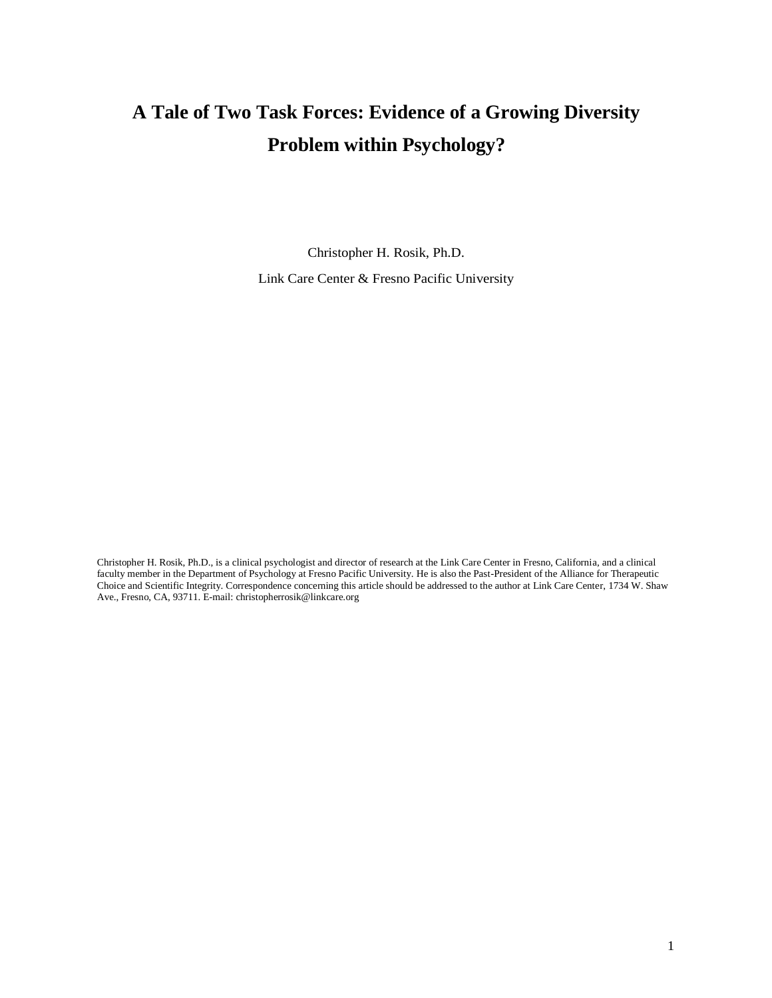# **A Tale of Two Task Forces: Evidence of a Growing Diversity Problem within Psychology?**

Christopher H. Rosik, Ph.D. Link Care Center & Fresno Pacific University

Christopher H. Rosik, Ph.D., is a clinical psychologist and director of research at the Link Care Center in Fresno, California, and a clinical faculty member in the Department of Psychology at Fresno Pacific University. He is also the Past-President of the Alliance for Therapeutic Choice and Scientific Integrity. Correspondence concerning this article should be addressed to the author at Link Care Center, 1734 W. Shaw Ave., Fresno, CA, 93711. E-mail[: christopherrosik@linkcare.org](mailto:christopherrosik@linkcare.org)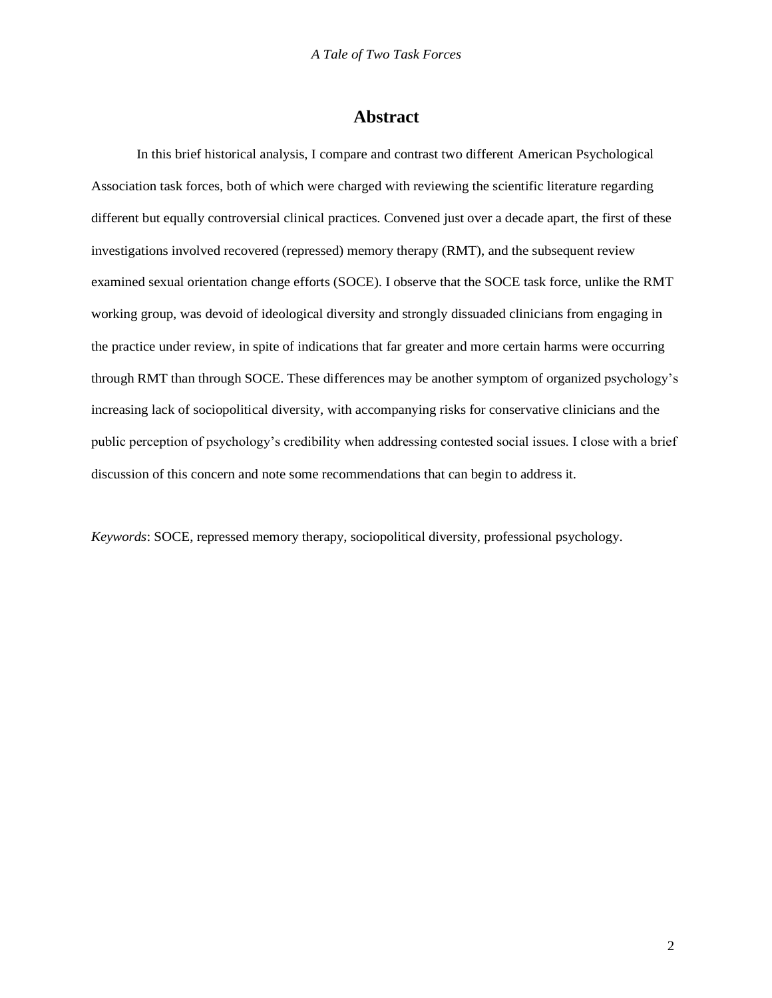### **Abstract**

In this brief historical analysis, I compare and contrast two different American Psychological Association task forces, both of which were charged with reviewing the scientific literature regarding different but equally controversial clinical practices. Convened just over a decade apart, the first of these investigations involved recovered (repressed) memory therapy (RMT), and the subsequent review examined sexual orientation change efforts (SOCE). I observe that the SOCE task force, unlike the RMT working group, was devoid of ideological diversity and strongly dissuaded clinicians from engaging in the practice under review, in spite of indications that far greater and more certain harms were occurring through RMT than through SOCE. These differences may be another symptom of organized psychology's increasing lack of sociopolitical diversity, with accompanying risks for conservative clinicians and the public perception of psychology's credibility when addressing contested social issues. I close with a brief discussion of this concern and note some recommendations that can begin to address it.

*Keywords*: SOCE, repressed memory therapy, sociopolitical diversity, professional psychology.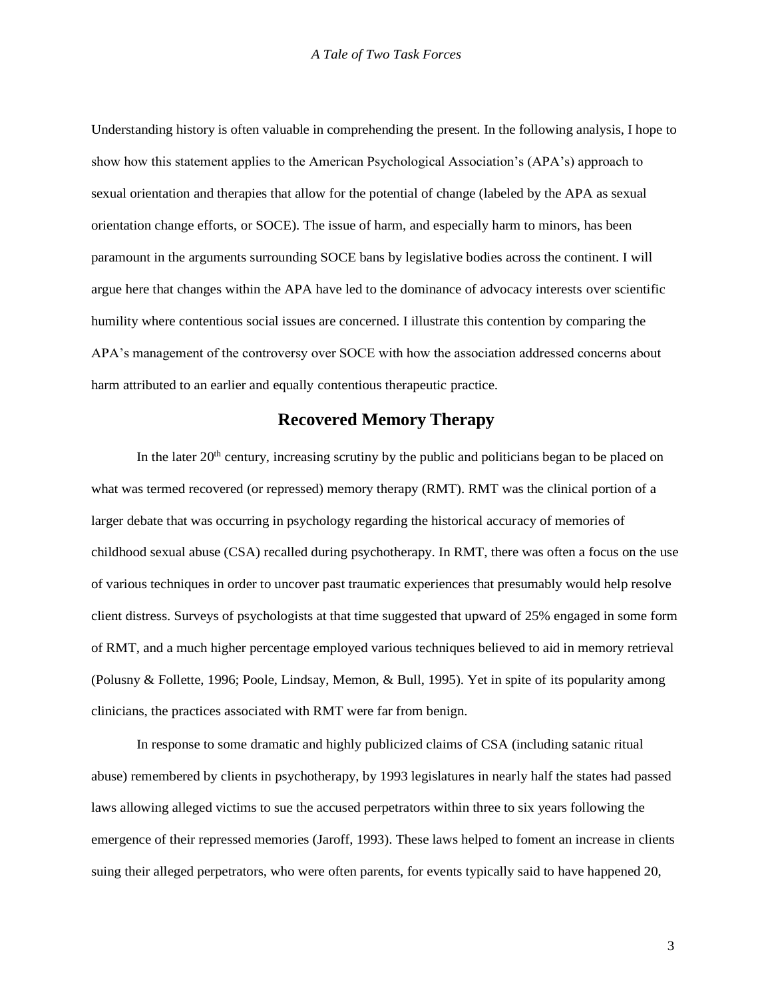Understanding history is often valuable in comprehending the present. In the following analysis, I hope to show how this statement applies to the American Psychological Association's (APA's) approach to sexual orientation and therapies that allow for the potential of change (labeled by the APA as sexual orientation change efforts, or SOCE). The issue of harm, and especially harm to minors, has been paramount in the arguments surrounding SOCE bans by legislative bodies across the continent. I will argue here that changes within the APA have led to the dominance of advocacy interests over scientific humility where contentious social issues are concerned. I illustrate this contention by comparing the APA's management of the controversy over SOCE with how the association addressed concerns about harm attributed to an earlier and equally contentious therapeutic practice.

## **Recovered Memory Therapy**

In the later  $20<sup>th</sup>$  century, increasing scrutiny by the public and politicians began to be placed on what was termed recovered (or repressed) memory therapy (RMT). RMT was the clinical portion of a larger debate that was occurring in psychology regarding the historical accuracy of memories of childhood sexual abuse (CSA) recalled during psychotherapy. In RMT, there was often a focus on the use of various techniques in order to uncover past traumatic experiences that presumably would help resolve client distress. Surveys of psychologists at that time suggested that upward of 25% engaged in some form of RMT, and a much higher percentage employed various techniques believed to aid in memory retrieval (Polusny & Follette, 1996; Poole, Lindsay, Memon, & Bull, 1995). Yet in spite of its popularity among clinicians, the practices associated with RMT were far from benign.

In response to some dramatic and highly publicized claims of CSA (including satanic ritual abuse) remembered by clients in psychotherapy, by 1993 legislatures in nearly half the states had passed laws allowing alleged victims to sue the accused perpetrators within three to six years following the emergence of their repressed memories (Jaroff, 1993). These laws helped to foment an increase in clients suing their alleged perpetrators, who were often parents, for events typically said to have happened 20,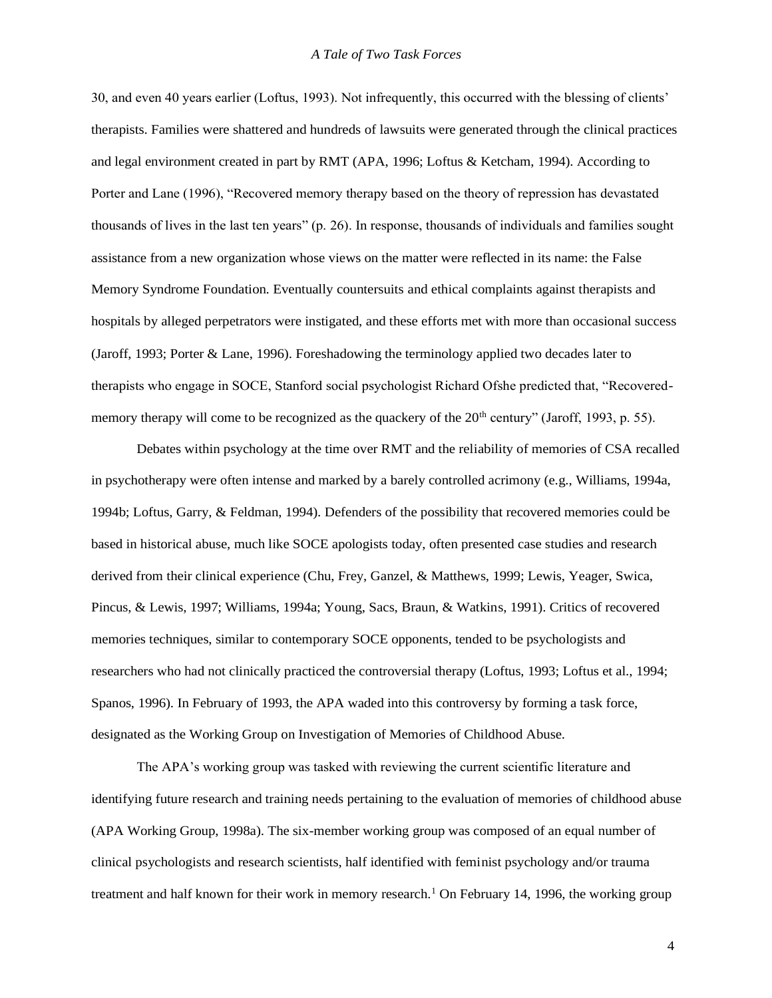#### *A Tale of Two Task Forces*

30, and even 40 years earlier (Loftus, 1993). Not infrequently, this occurred with the blessing of clients' therapists. Families were shattered and hundreds of lawsuits were generated through the clinical practices and legal environment created in part by RMT (APA, 1996; Loftus & Ketcham, 1994). According to Porter and Lane (1996), "Recovered memory therapy based on the theory of repression has devastated thousands of lives in the last ten years" (p. 26). In response, thousands of individuals and families sought assistance from a new organization whose views on the matter were reflected in its name: the False Memory Syndrome Foundation. Eventually countersuits and ethical complaints against therapists and hospitals by alleged perpetrators were instigated, and these efforts met with more than occasional success (Jaroff, 1993; Porter & Lane, 1996). Foreshadowing the terminology applied two decades later to therapists who engage in SOCE, Stanford social psychologist Richard Ofshe predicted that, "Recoveredmemory therapy will come to be recognized as the quackery of the  $20<sup>th</sup>$  century" (Jaroff, 1993, p. 55).

Debates within psychology at the time over RMT and the reliability of memories of CSA recalled in psychotherapy were often intense and marked by a barely controlled acrimony (e.g., Williams, 1994a, 1994b; Loftus, Garry, & Feldman, 1994). Defenders of the possibility that recovered memories could be based in historical abuse, much like SOCE apologists today, often presented case studies and research derived from their clinical experience (Chu, Frey, Ganzel, & Matthews, 1999; Lewis, Yeager, Swica, Pincus, & Lewis, 1997; Williams, 1994a; Young, Sacs, Braun, & Watkins, 1991). Critics of recovered memories techniques, similar to contemporary SOCE opponents, tended to be psychologists and researchers who had not clinically practiced the controversial therapy (Loftus, 1993; Loftus et al., 1994; Spanos, 1996). In February of 1993, the APA waded into this controversy by forming a task force, designated as the Working Group on Investigation of Memories of Childhood Abuse.

The APA's working group was tasked with reviewing the current scientific literature and identifying future research and training needs pertaining to the evaluation of memories of childhood abuse (APA Working Group, 1998a). The six-member working group was composed of an equal number of clinical psychologists and research scientists, half identified with feminist psychology and/or trauma treatment and half known for their work in memory research.<sup>1</sup> On February 14, 1996, the working group

4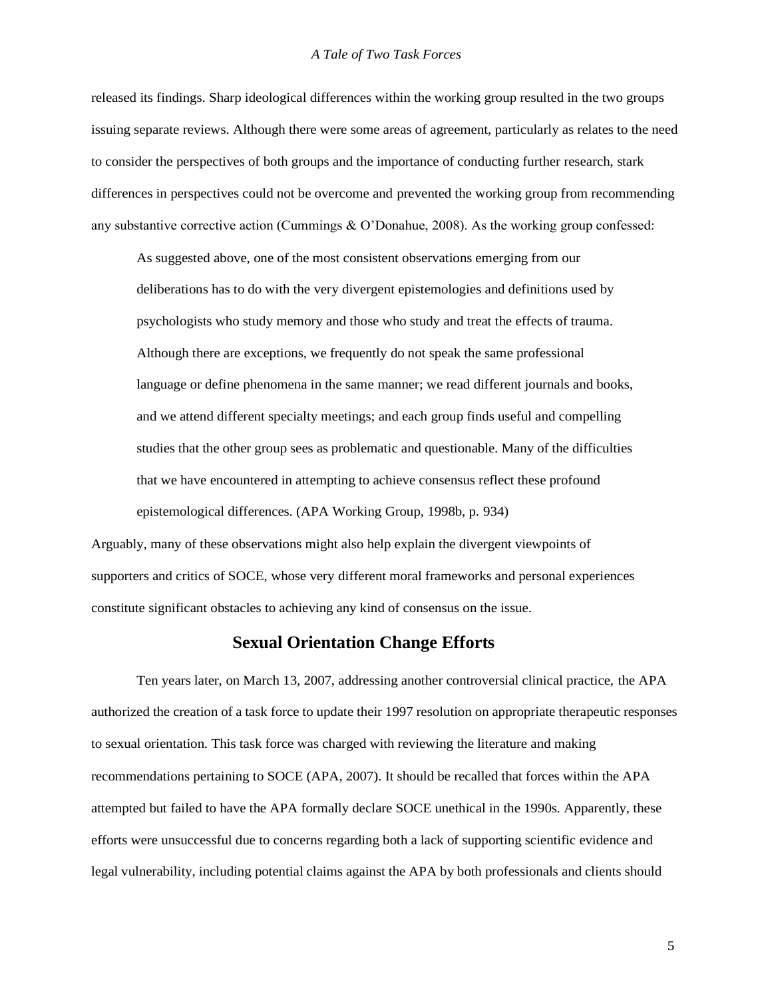#### *A Tale of Two Task Forces*

released its findings. Sharp ideological differences within the working group resulted in the two groups issuing separate reviews. Although there were some areas of agreement, particularly as relates to the need to consider the perspectives of both groups and the importance of conducting further research, stark differences in perspectives could not be overcome and prevented the working group from recommending any substantive corrective action (Cummings & O'Donahue, 2008). As the working group confessed:

As suggested above, one of the most consistent observations emerging from our deliberations has to do with the very divergent epistemologies and definitions used by psychologists who study memory and those who study and treat the effects of trauma. Although there are exceptions, we frequently do not speak the same professional language or define phenomena in the same manner; we read different journals and books, and we attend different specialty meetings; and each group finds useful and compelling studies that the other group sees as problematic and questionable. Many of the difficulties that we have encountered in attempting to achieve consensus reflect these profound epistemological differences. (APA Working Group, 1998b, p. 934)

Arguably, many of these observations might also help explain the divergent viewpoints of supporters and critics of SOCE, whose very different moral frameworks and personal experiences constitute significant obstacles to achieving any kind of consensus on the issue.

### **Sexual Orientation Change Efforts**

Ten years later, on March 13, 2007, addressing another controversial clinical practice, the APA authorized the creation of a task force to update their 1997 resolution on appropriate therapeutic responses to sexual orientation. This task force was charged with reviewing the literature and making recommendations pertaining to SOCE (APA, 2007). It should be recalled that forces within the APA attempted but failed to have the APA formally declare SOCE unethical in the 1990s. Apparently, these efforts were unsuccessful due to concerns regarding both a lack of supporting scientific evidence and legal vulnerability, including potential claims against the APA by both professionals and clients should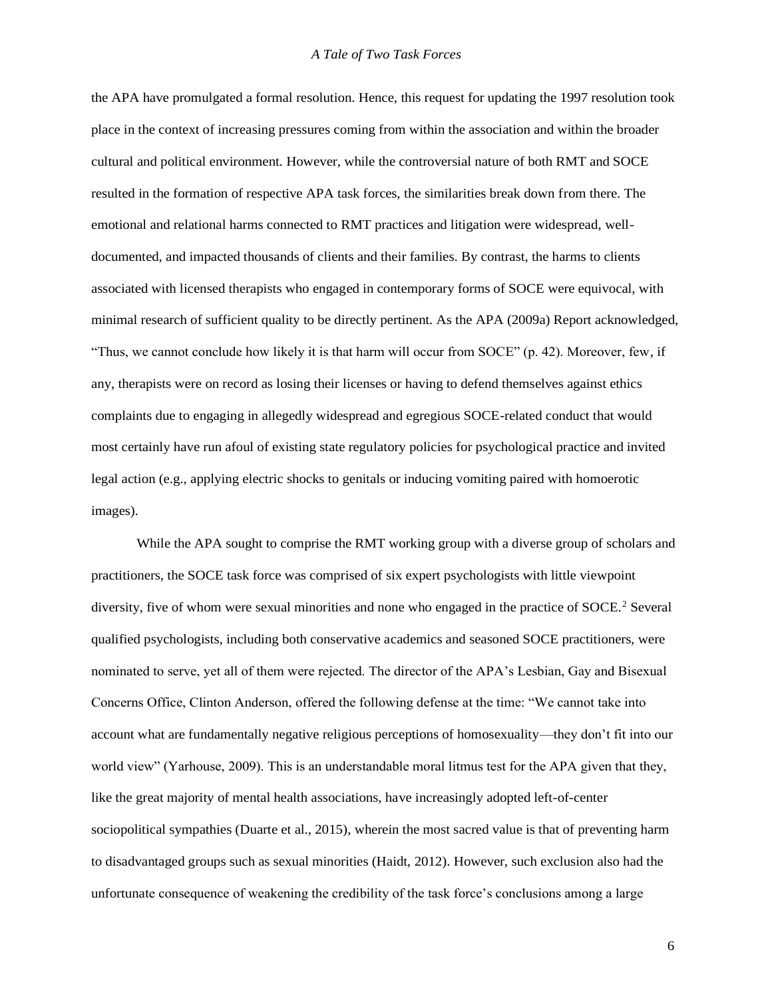the APA have promulgated a formal resolution. Hence, this request for updating the 1997 resolution took place in the context of increasing pressures coming from within the association and within the broader cultural and political environment. However, while the controversial nature of both RMT and SOCE resulted in the formation of respective APA task forces, the similarities break down from there. The emotional and relational harms connected to RMT practices and litigation were widespread, welldocumented, and impacted thousands of clients and their families. By contrast, the harms to clients associated with licensed therapists who engaged in contemporary forms of SOCE were equivocal, with minimal research of sufficient quality to be directly pertinent. As the APA (2009a) Report acknowledged, "Thus, we cannot conclude how likely it is that harm will occur from SOCE" (p. 42). Moreover, few, if any, therapists were on record as losing their licenses or having to defend themselves against ethics complaints due to engaging in allegedly widespread and egregious SOCE-related conduct that would most certainly have run afoul of existing state regulatory policies for psychological practice and invited legal action (e.g., applying electric shocks to genitals or inducing vomiting paired with homoerotic images).

While the APA sought to comprise the RMT working group with a diverse group of scholars and practitioners, the SOCE task force was comprised of six expert psychologists with little viewpoint diversity, five of whom were sexual minorities and none who engaged in the practice of SOCE.<sup>2</sup> Several qualified psychologists, including both conservative academics and seasoned SOCE practitioners, were nominated to serve, yet all of them were rejected. The director of the APA's Lesbian, Gay and Bisexual Concerns Office, Clinton Anderson, offered the following defense at the time: "We cannot take into account what are fundamentally negative religious perceptions of homosexuality—they don't fit into our world view" (Yarhouse, 2009). This is an understandable moral litmus test for the APA given that they, like the great majority of mental health associations, have increasingly adopted left-of-center sociopolitical sympathies (Duarte et al., 2015), wherein the most sacred value is that of preventing harm to disadvantaged groups such as sexual minorities (Haidt, 2012). However, such exclusion also had the unfortunate consequence of weakening the credibility of the task force's conclusions among a large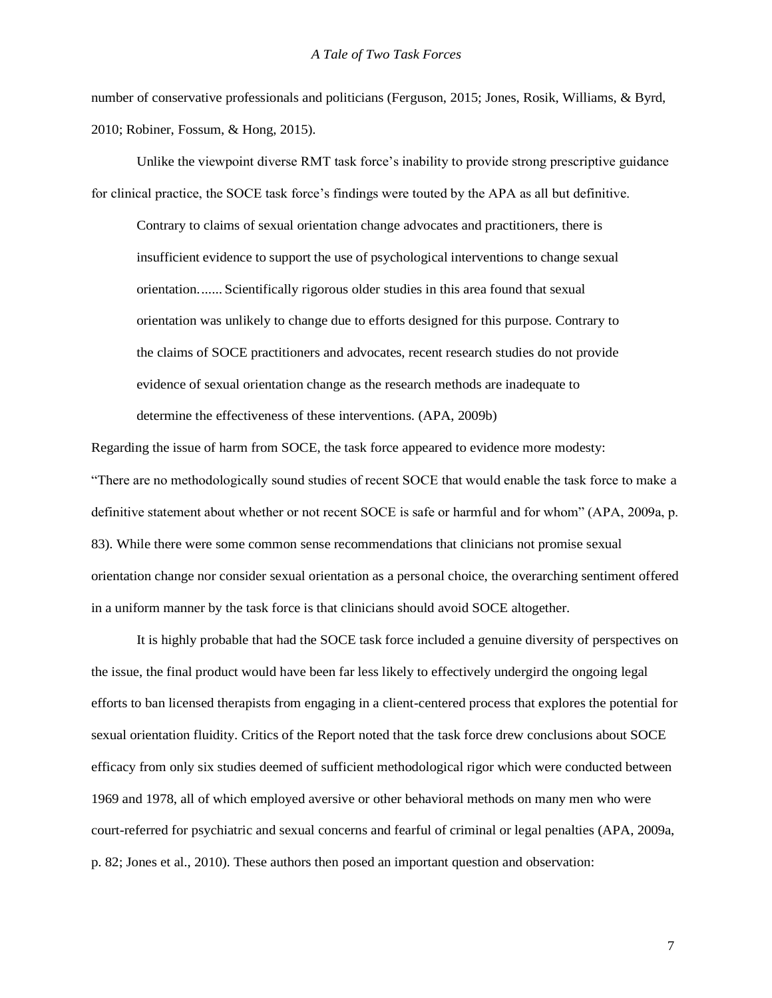number of conservative professionals and politicians (Ferguson, 2015; Jones, Rosik, Williams, & Byrd, 2010; Robiner, Fossum, & Hong, 2015).

Unlike the viewpoint diverse RMT task force's inability to provide strong prescriptive guidance for clinical practice, the SOCE task force's findings were touted by the APA as all but definitive.

Contrary to claims of sexual orientation change advocates and practitioners, there is insufficient evidence to support the use of psychological interventions to change sexual orientation....... Scientifically rigorous older studies in this area found that sexual orientation was unlikely to change due to efforts designed for this purpose. Contrary to the claims of SOCE practitioners and advocates, recent research studies do not provide evidence of sexual orientation change as the research methods are inadequate to determine the effectiveness of these interventions. (APA, 2009b)

Regarding the issue of harm from SOCE, the task force appeared to evidence more modesty: "There are no methodologically sound studies of recent SOCE that would enable the task force to make a definitive statement about whether or not recent SOCE is safe or harmful and for whom" (APA, 2009a, p. 83). While there were some common sense recommendations that clinicians not promise sexual orientation change nor consider sexual orientation as a personal choice, the overarching sentiment offered in a uniform manner by the task force is that clinicians should avoid SOCE altogether.

It is highly probable that had the SOCE task force included a genuine diversity of perspectives on the issue, the final product would have been far less likely to effectively undergird the ongoing legal efforts to ban licensed therapists from engaging in a client-centered process that explores the potential for sexual orientation fluidity. Critics of the Report noted that the task force drew conclusions about SOCE efficacy from only six studies deemed of sufficient methodological rigor which were conducted between 1969 and 1978, all of which employed aversive or other behavioral methods on many men who were court-referred for psychiatric and sexual concerns and fearful of criminal or legal penalties (APA, 2009a, p. 82; Jones et al., 2010). These authors then posed an important question and observation: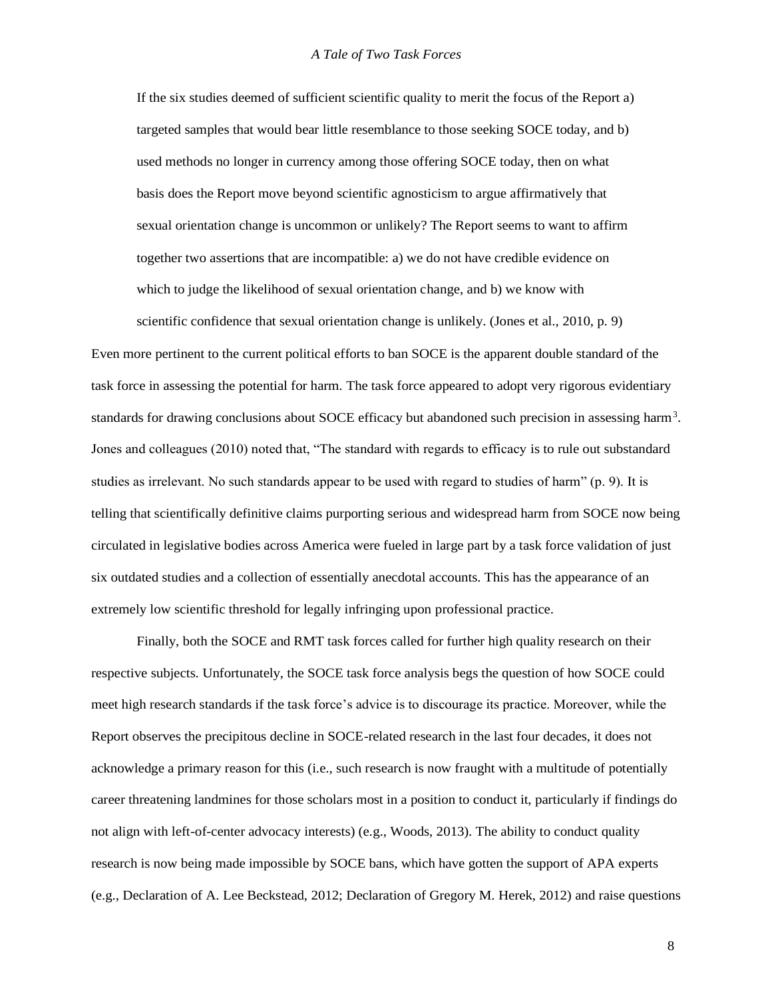If the six studies deemed of sufficient scientific quality to merit the focus of the Report a) targeted samples that would bear little resemblance to those seeking SOCE today, and b) used methods no longer in currency among those offering SOCE today, then on what basis does the Report move beyond scientific agnosticism to argue affirmatively that sexual orientation change is uncommon or unlikely? The Report seems to want to affirm together two assertions that are incompatible: a) we do not have credible evidence on which to judge the likelihood of sexual orientation change, and b) we know with

scientific confidence that sexual orientation change is unlikely. (Jones et al., 2010, p. 9) Even more pertinent to the current political efforts to ban SOCE is the apparent double standard of the task force in assessing the potential for harm. The task force appeared to adopt very rigorous evidentiary standards for drawing conclusions about SOCE efficacy but abandoned such precision in assessing harm<sup>3</sup>. Jones and colleagues (2010) noted that, "The standard with regards to efficacy is to rule out substandard studies as irrelevant. No such standards appear to be used with regard to studies of harm" (p. 9). It is telling that scientifically definitive claims purporting serious and widespread harm from SOCE now being circulated in legislative bodies across America were fueled in large part by a task force validation of just six outdated studies and a collection of essentially anecdotal accounts. This has the appearance of an extremely low scientific threshold for legally infringing upon professional practice.

Finally, both the SOCE and RMT task forces called for further high quality research on their respective subjects. Unfortunately, the SOCE task force analysis begs the question of how SOCE could meet high research standards if the task force's advice is to discourage its practice. Moreover, while the Report observes the precipitous decline in SOCE-related research in the last four decades, it does not acknowledge a primary reason for this (i.e., such research is now fraught with a multitude of potentially career threatening landmines for those scholars most in a position to conduct it, particularly if findings do not align with left-of-center advocacy interests) (e.g., Woods, 2013). The ability to conduct quality research is now being made impossible by SOCE bans, which have gotten the support of APA experts (e.g., Declaration of A. Lee Beckstead, 2012; Declaration of Gregory M. Herek, 2012) and raise questions

8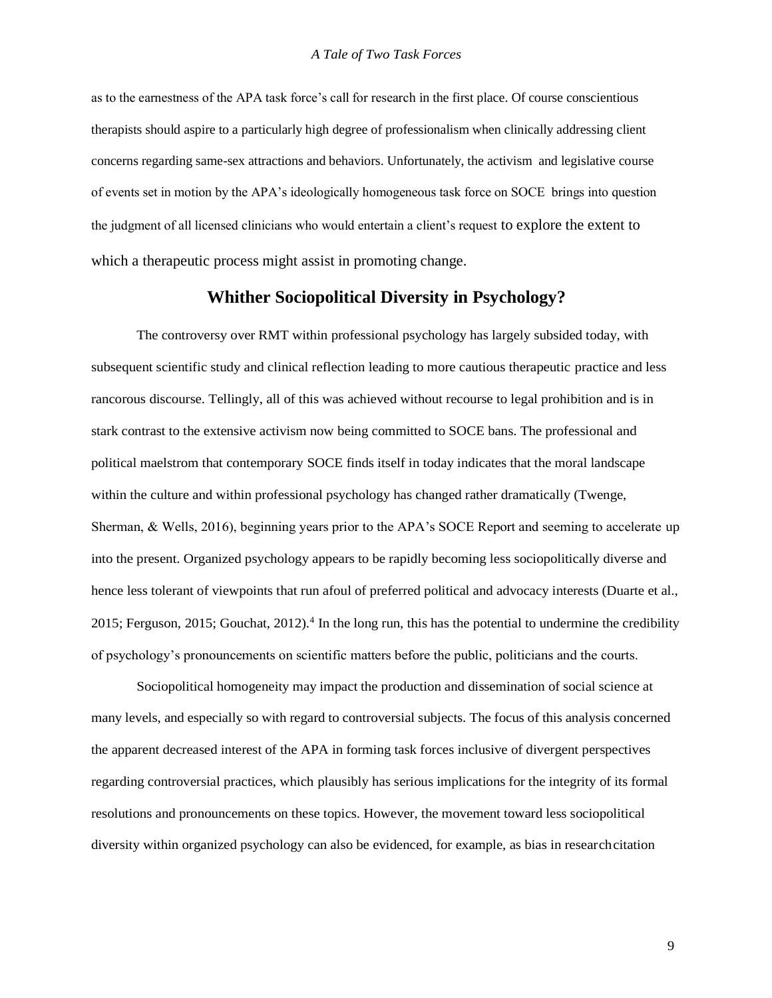as to the earnestness of the APA task force's call for research in the first place. Of course conscientious therapists should aspire to a particularly high degree of professionalism when clinically addressing client concerns regarding same-sex attractions and behaviors. Unfortunately, the activism and legislative course of events set in motion by the APA's ideologically homogeneous task force on SOCE brings into question the judgment of all licensed clinicians who would entertain a client's request to explore the extent to which a therapeutic process might assist in promoting change.

### **Whither Sociopolitical Diversity in Psychology?**

The controversy over RMT within professional psychology has largely subsided today, with subsequent scientific study and clinical reflection leading to more cautious therapeutic practice and less rancorous discourse. Tellingly, all of this was achieved without recourse to legal prohibition and is in stark contrast to the extensive activism now being committed to SOCE bans. The professional and political maelstrom that contemporary SOCE finds itself in today indicates that the moral landscape within the culture and within professional psychology has changed rather dramatically (Twenge, Sherman, & Wells, 2016), beginning years prior to the APA's SOCE Report and seeming to accelerate up into the present. Organized psychology appears to be rapidly becoming less sociopolitically diverse and hence less tolerant of viewpoints that run afoul of preferred political and advocacy interests (Duarte et al., 2015; Ferguson, 2015; Gouchat, 2012).<sup>4</sup> In the long run, this has the potential to undermine the credibility of psychology's pronouncements on scientific matters before the public, politicians and the courts.

Sociopolitical homogeneity may impact the production and dissemination of social science at many levels, and especially so with regard to controversial subjects. The focus of this analysis concerned the apparent decreased interest of the APA in forming task forces inclusive of divergent perspectives regarding controversial practices, which plausibly has serious implications for the integrity of its formal resolutions and pronouncements on these topics. However, the movement toward less sociopolitical diversity within organized psychology can also be evidenced, for example, as bias in researchcitation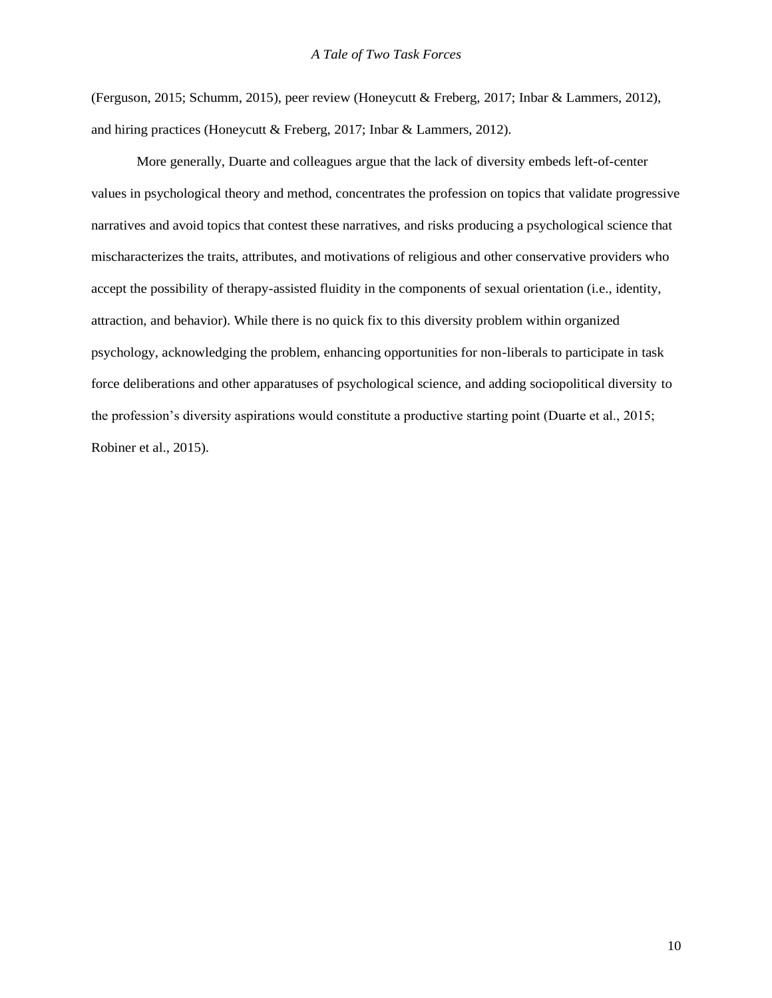(Ferguson, 2015; Schumm, 2015), peer review (Honeycutt & Freberg, 2017; Inbar & Lammers, 2012), and hiring practices (Honeycutt & Freberg, 2017; Inbar & Lammers, 2012).

More generally, Duarte and colleagues argue that the lack of diversity embeds left-of-center values in psychological theory and method, concentrates the profession on topics that validate progressive narratives and avoid topics that contest these narratives, and risks producing a psychological science that mischaracterizes the traits, attributes, and motivations of religious and other conservative providers who accept the possibility of therapy-assisted fluidity in the components of sexual orientation (i.e., identity, attraction, and behavior). While there is no quick fix to this diversity problem within organized psychology, acknowledging the problem, enhancing opportunities for non-liberals to participate in task force deliberations and other apparatuses of psychological science, and adding sociopolitical diversity to the profession's diversity aspirations would constitute a productive starting point (Duarte et al., 2015; Robiner et al., 2015).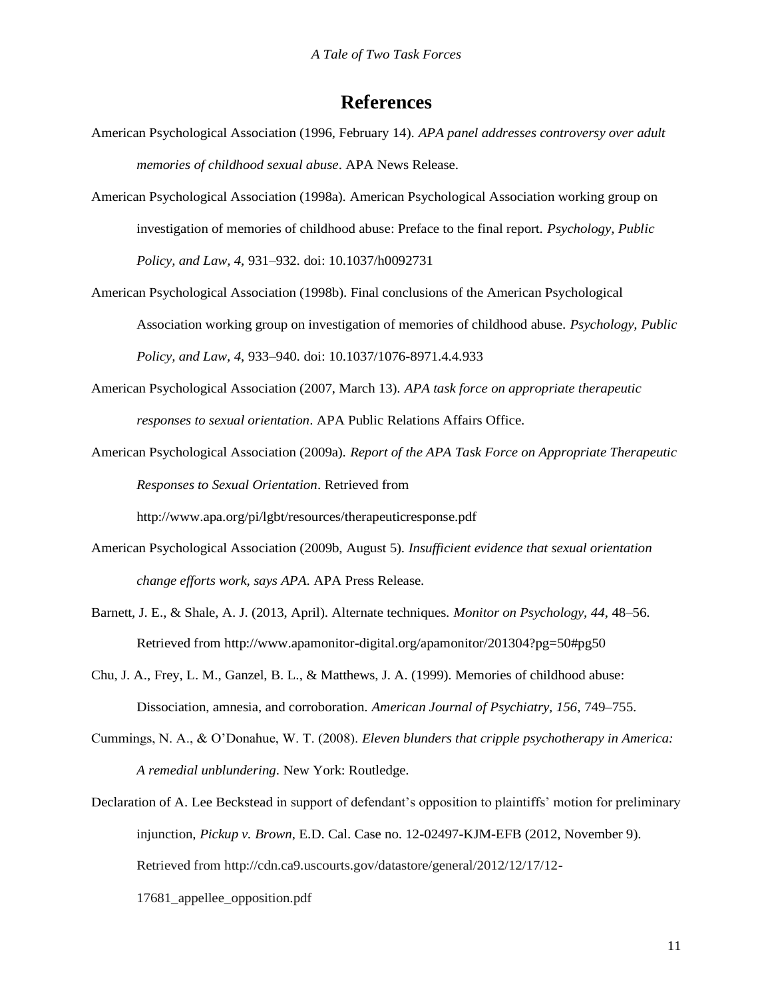# **References**

- American Psychological Association (1996, February 14). *APA panel addresses controversy over adult memories of childhood sexual abuse*. APA News Release.
- American Psychological Association (1998a). American Psychological Association working group on investigation of memories of childhood abuse: Preface to the final report. *Psychology, Public Policy, and Law, 4*, 931–932. doi: 10.1037/h0092731
- American Psychological Association (1998b). Final conclusions of the American Psychological Association working group on investigation of memories of childhood abuse. *Psychology, Public Policy, and Law, 4*, 933–940. doi: 10.1037/1076-8971.4.4.933
- American Psychological Association (2007, March 13). *APA task force on appropriate therapeutic responses to sexual orientation*. APA Public Relations Affairs Office.
- American Psychological Association (2009a). *Report of the APA Task Force on Appropriate Therapeutic Responses to Sexual Orientation*. Retrieved from

<http://www.apa.org/pi/lgbt/resources/therapeuticresponse.pdf>

- American Psychological Association (2009b, August 5). *Insufficient evidence that sexual orientation change efforts work, says APA*. APA Press Release.
- Barnett, J. E., & Shale, A. J. (2013, April). Alternate techniques. *Monitor on Psychology, 44*, 48–56. Retrieved from [http://www.apamonitor-digital.org/apamonitor/201304?pg=50#pg50](http://www.apamonitor-digital.org/apamonitor/201304?pg=50&pg50)
- Chu, J. A., Frey, L. M., Ganzel, B. L., & Matthews, J. A. (1999). Memories of childhood abuse: Dissociation, amnesia, and corroboration. *American Journal of Psychiatry, 156*, 749–755.
- Cummings, N. A., & O'Donahue, W. T. (2008). *Eleven blunders that cripple psychotherapy in America: A remedial unblundering*. New York: Routledge.
- Declaration of A. Lee Beckstead in support of defendant's opposition to plaintiffs' motion for preliminary injunction, *Pickup v. Brown*, E.D. Cal. Case no. 12-02497-KJM-EFB (2012, November 9). Retrieved from<http://cdn.ca9.uscourts.gov/datastore/general/2012/12/17/12-> 17681\_appellee\_opposition.pdf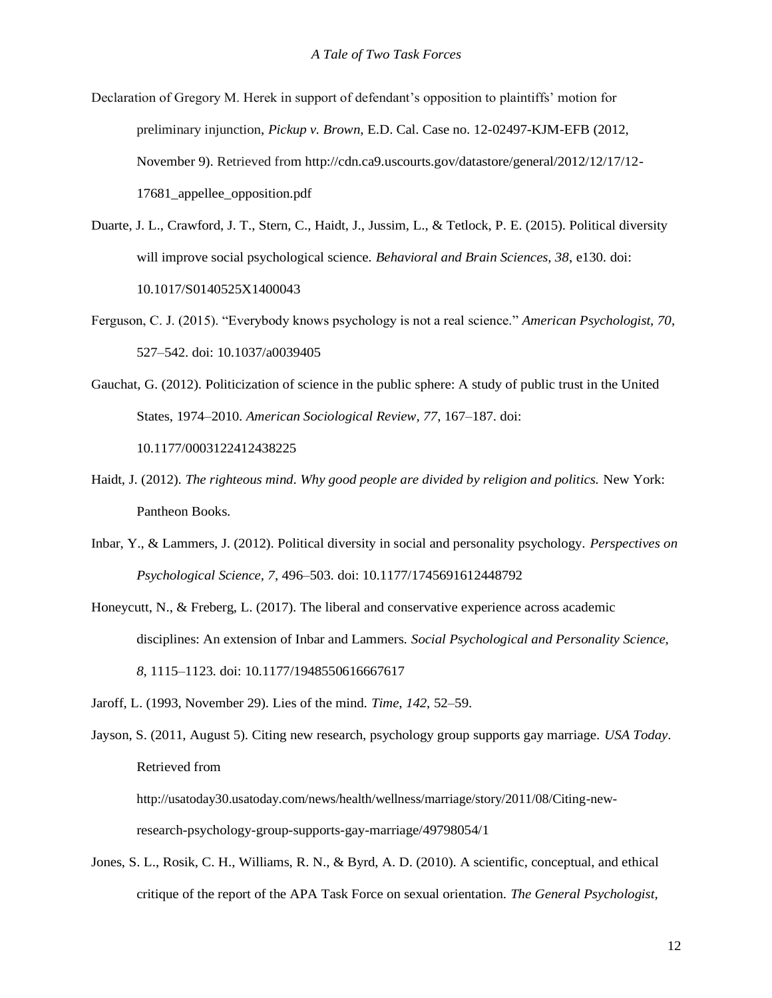- Declaration of Gregory M. Herek in support of defendant's opposition to plaintiffs' motion for preliminary injunction, *Pickup v. Brown*, E.D. Cal. Case no. 12-02497-KJM-EFB (2012, November 9). Retrieved from<http://cdn.ca9.uscourts.gov/datastore/general/2012/12/17/12-> 17681\_appellee\_opposition.pdf
- Duarte, J. L., Crawford, J. T., Stern, C., Haidt, J., Jussim, L., & Tetlock, P. E. (2015). Political diversity will improve social psychological science. *Behavioral and Brain Sciences, 38*, e130. doi: 10.1017/S0140525X1400043
- Ferguson, C. J. (2015). "Everybody knows psychology is not a real science." *American Psychologist, 70*, 527–542. doi: 10.1037/a0039405
- Gauchat, G. (2012). Politicization of science in the public sphere: A study of public trust in the United States, 1974–2010. *American Sociological Review, 77*, 167–187. doi: 10.1177/0003122412438225
- Haidt, J. (2012). *The righteous mind*. *Why good people are divided by religion and politics.* New York: Pantheon Books.
- Inbar, Y., & Lammers, J. (2012). Political diversity in social and personality psychology. *Perspectives on Psychological Science, 7*, 496–503. doi: 10.1177/1745691612448792
- Honeycutt, N., & Freberg, L. (2017). The liberal and conservative experience across academic disciplines: An extension of Inbar and Lammers. *Social Psychological and Personality Science, 8*, 1115–1123. doi: 10.1177/1948550616667617
- Jaroff, L. (1993, November 29). Lies of the mind. *Time*, *142*, 52–59.

Jayson, S. (2011, August 5). Citing new research, psychology group supports gay marriage. *USA Today*. Retrieved from [http://usatoday30.usatoday.com/news/health/wellness/marriage/story/2011/08/Citing-new](http://usatoday30.usatoday.com/news/health/wellness/marriage/story/2011/08/Citing-new-)research-psychology-group-supports-gay-marriage/49798054/1

Jones, S. L., Rosik, C. H., Williams, R. N., & Byrd, A. D. (2010). A scientific, conceptual, and ethical critique of the report of the APA Task Force on sexual orientation. *The General Psychologist,*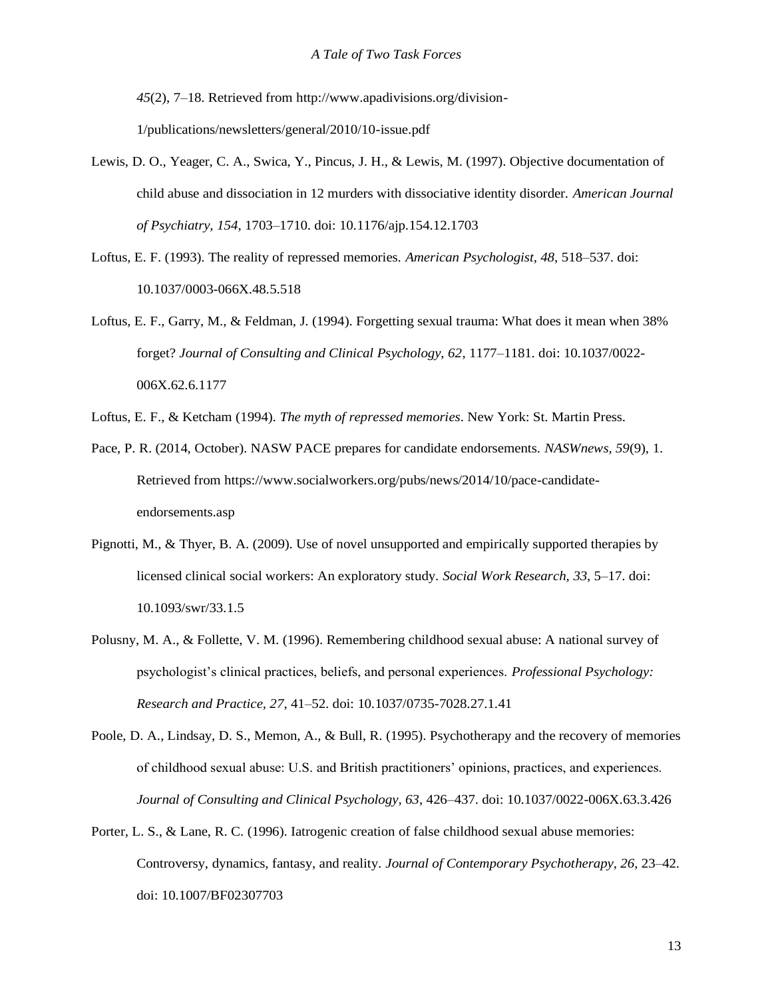*45*(2), 7–18. Retrieved from<http://www.apadivisions.org/division->1/publications/newsletters/general/2010/10-issue.pdf

- Lewis, D. O., Yeager, C. A., Swica, Y., Pincus, J. H., & Lewis, M. (1997). Objective documentation of child abuse and dissociation in 12 murders with dissociative identity disorder. *American Journal of Psychiatry, 154*, 1703–1710. doi: 10.1176/ajp.154.12.1703
- Loftus, E. F. (1993). The reality of repressed memories. *American Psychologist, 48*, 518–537. doi: 10.1037/0003-066X.48.5.518
- Loftus, E. F., Garry, M., & Feldman, J. (1994). Forgetting sexual trauma: What does it mean when 38% forget? *Journal of Consulting and Clinical Psychology, 62*, 1177–1181. doi: 10.1037/0022- 006X.62.6.1177
- Loftus, E. F., & Ketcham (1994). *The myth of repressed memories*. New York: St. Martin Press.
- Pace, P. R. (2014, October). NASW PACE prepares for candidate endorsements. *NASWnews, 59*(9), 1. Retrieved from https:/[/www.socialworkers.org/pubs/news/2014/10/pace-candidate](http://www.socialworkers.org/pubs/news/2014/10/pace-candidate-)endorsements.asp
- Pignotti, M., & Thyer, B. A. (2009). Use of novel unsupported and empirically supported therapies by licensed clinical social workers: An exploratory study. *Social Work Research, 33*, 5–17. doi: 10.1093/swr/33.1.5
- Polusny, M. A., & Follette, V. M. (1996). Remembering childhood sexual abuse: A national survey of psychologist's clinical practices, beliefs, and personal experiences. *Professional Psychology: Research and Practice, 27*, 41–52. doi: 10.1037/0735-7028.27.1.41
- Poole, D. A., Lindsay, D. S., Memon, A., & Bull, R. (1995). Psychotherapy and the recovery of memories of childhood sexual abuse: U.S. and British practitioners' opinions, practices, and experiences. *Journal of Consulting and Clinical Psychology, 63*, 426–437. doi: 10.1037/0022-006X.63.3.426
- Porter, L. S., & Lane, R. C. (1996). Iatrogenic creation of false childhood sexual abuse memories: Controversy, dynamics, fantasy, and reality. *Journal of Contemporary Psychotherapy, 26*, 23–42. doi: 10.1007/BF02307703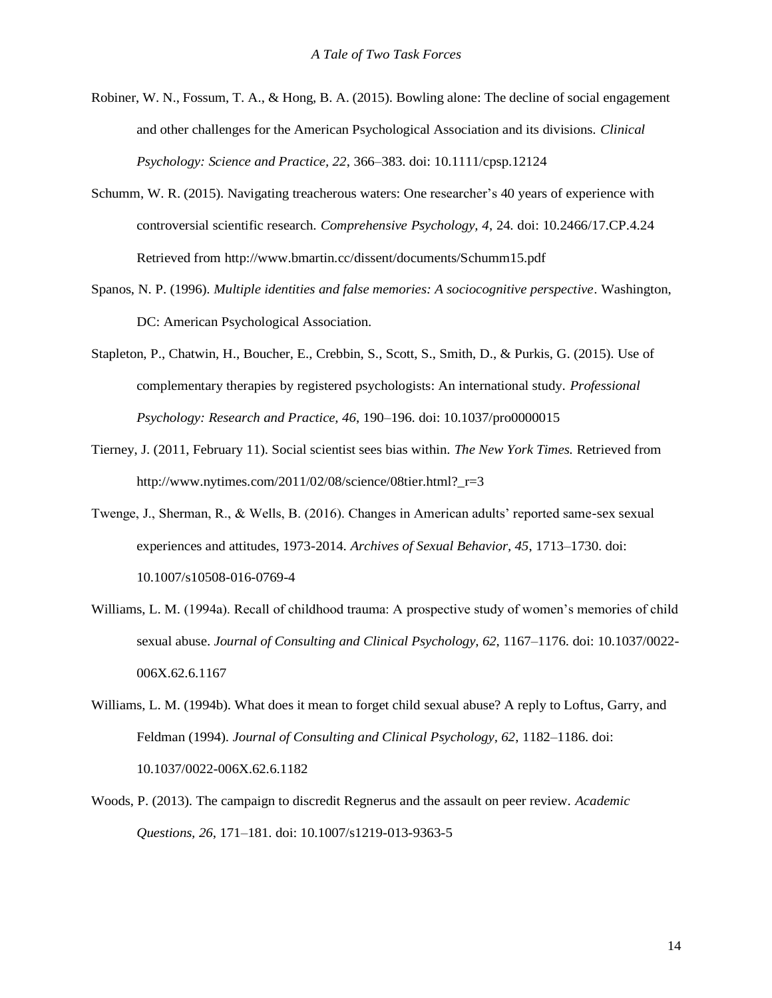- Robiner, W. N., Fossum, T. A., & Hong, B. A. (2015). Bowling alone: The decline of social engagement and other challenges for the American Psychological Association and its divisions. *Clinical Psychology: Science and Practice, 22*, 366–383. doi: 10.1111/cpsp.12124
- Schumm, W. R. (2015). Navigating treacherous waters: One researcher's 40 years of experience with controversial scientific research. *Comprehensive Psychology, 4*, 24. doi: 10.2466/17.CP.4.24 Retrieved from <http://www.bmartin.cc/dissent/documents/Schumm15.pdf>
- Spanos, N. P. (1996). *Multiple identities and false memories: A sociocognitive perspective*. Washington, DC: American Psychological Association.
- Stapleton, P., Chatwin, H., Boucher, E., Crebbin, S., Scott, S., Smith, D., & Purkis, G. (2015). Use of complementary therapies by registered psychologists: An international study. *Professional Psychology: Research and Practice, 46*, 190–196. doi: 10.1037/pro0000015
- Tierney, J. (2011, February 11). Social scientist sees bias within. *The New York Times.* Retrieved from [http://www.nytimes.com/2011/02/08/science/08tier.html?\\_r=3](http://www.nytimes.com/2011/02/08/science/08tier.html?_r=3)
- Twenge, J., Sherman, R., & Wells, B. (2016). Changes in American adults' reported same-sex sexual experiences and attitudes, 1973-2014. *Archives of Sexual Behavior, 45*, 1713–1730. doi: 10.1007/s10508-016-0769-4
- Williams, L. M. (1994a). Recall of childhood trauma: A prospective study of women's memories of child sexual abuse. *Journal of Consulting and Clinical Psychology, 62*, 1167–1176. doi: 10.1037/0022- 006X.62.6.1167
- Williams, L. M. (1994b). What does it mean to forget child sexual abuse? A reply to Loftus, Garry, and Feldman (1994). *Journal of Consulting and Clinical Psychology, 62*, 1182–1186. doi: 10.1037/0022-006X.62.6.1182
- Woods, P. (2013). The campaign to discredit Regnerus and the assault on peer review. *Academic Questions, 26*, 171–181. doi: 10.1007/s1219-013-9363-5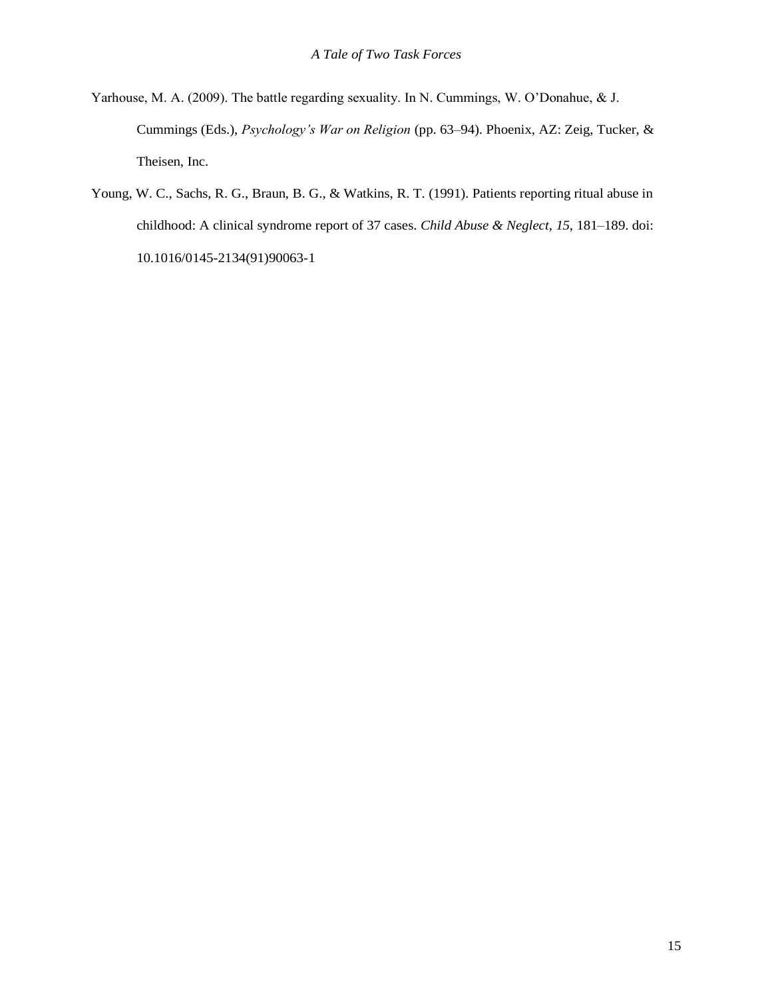- Yarhouse, M. A. (2009). The battle regarding sexuality. In N. Cummings, W. O'Donahue, & J. Cummings (Eds.), *Psychology's War on Religion* (pp. 63–94). Phoenix, AZ: Zeig, Tucker, & Theisen, Inc.
- Young, W. C., Sachs, R. G., Braun, B. G., & Watkins, R. T. (1991). Patients reporting ritual abuse in childhood: A clinical syndrome report of 37 cases. *Child Abuse & Neglect, 15*, 181–189. doi: 10.1016/0145-2134(91)90063-1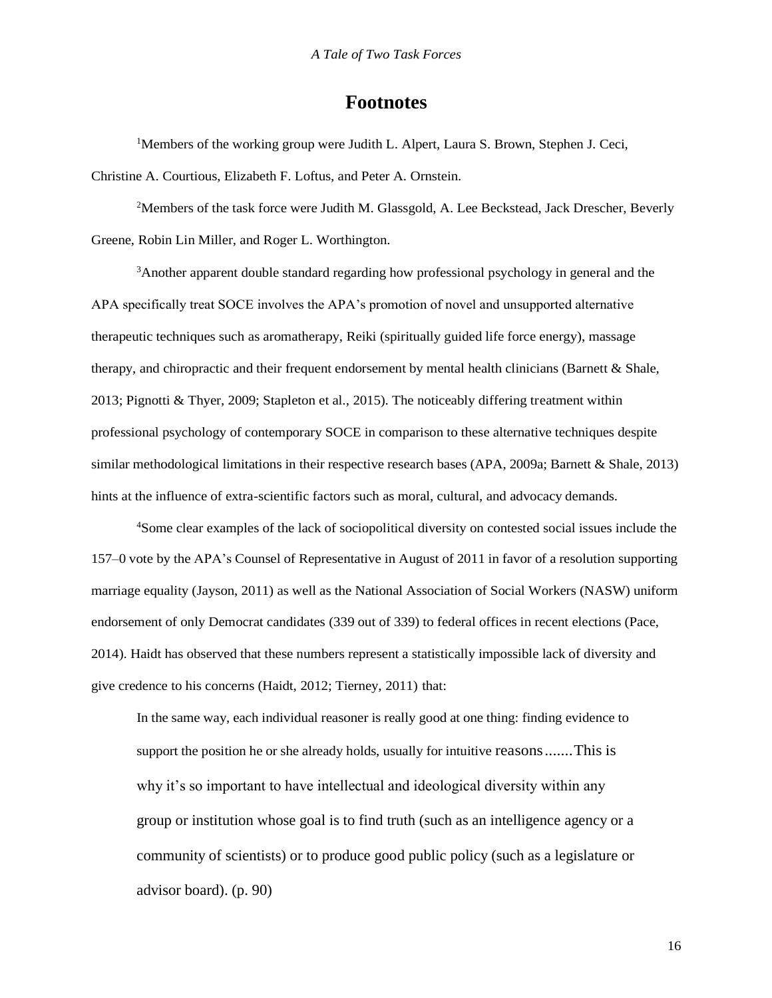# **Footnotes**

<sup>1</sup>Members of the working group were Judith L. Alpert, Laura S. Brown, Stephen J. Ceci, Christine A. Courtious, Elizabeth F. Loftus, and Peter A. Ornstein.

<sup>2</sup>Members of the task force were Judith M. Glassgold, A. Lee Beckstead, Jack Drescher, Beverly Greene, Robin Lin Miller, and Roger L. Worthington.

<sup>3</sup>Another apparent double standard regarding how professional psychology in general and the APA specifically treat SOCE involves the APA's promotion of novel and unsupported alternative therapeutic techniques such as aromatherapy, Reiki (spiritually guided life force energy), massage therapy, and chiropractic and their frequent endorsement by mental health clinicians (Barnett & Shale, 2013; Pignotti & Thyer, 2009; Stapleton et al., 2015). The noticeably differing treatment within professional psychology of contemporary SOCE in comparison to these alternative techniques despite similar methodological limitations in their respective research bases (APA, 2009a; Barnett & Shale, 2013) hints at the influence of extra-scientific factors such as moral, cultural, and advocacy demands.

<sup>4</sup>Some clear examples of the lack of sociopolitical diversity on contested social issues include the 157–0 vote by the APA's Counsel of Representative in August of 2011 in favor of a resolution supporting marriage equality (Jayson, 2011) as well as the National Association of Social Workers (NASW) uniform endorsement of only Democrat candidates (339 out of 339) to federal offices in recent elections (Pace, 2014). Haidt has observed that these numbers represent a statistically impossible lack of diversity and give credence to his concerns (Haidt, 2012; Tierney, 2011) that:

In the same way, each individual reasoner is really good at one thing: finding evidence to support the position he or she already holds, usually for intuitive reasons.......This is why it's so important to have intellectual and ideological diversity within any group or institution whose goal is to find truth (such as an intelligence agency or a community of scientists) or to produce good public policy (such as a legislature or advisor board). (p. 90)